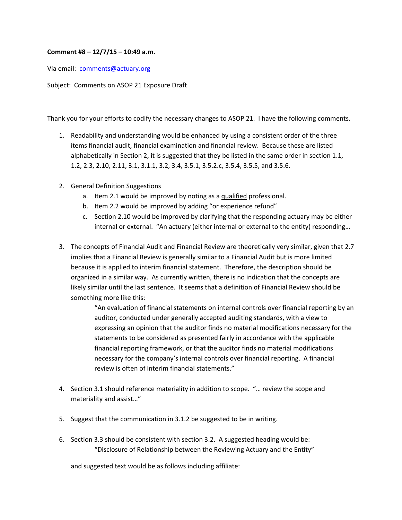## **Comment #8 – 12/7/15 – 10:49 a.m.**

Via email: comments@actuary.org

Subject: Comments on ASOP 21 Exposure Draft

Thank you for your efforts to codify the necessary changes to ASOP 21. I have the following comments.

- 1. Readability and understanding would be enhanced by using a consistent order of the three items financial audit, financial examination and financial review. Because these are listed alphabetically in Section 2, it is suggested that they be listed in the same order in section 1.1, 1.2, 2.3, 2.10, 2.11, 3.1, 3.1.1, 3.2, 3.4, 3.5.1, 3.5.2.c, 3.5.4, 3.5.5, and 3.5.6.
- 2. General Definition Suggestions
	- a. Item 2.1 would be improved by noting as a qualified professional.
	- b. Item 2.2 would be improved by adding "or experience refund"
	- c. Section 2.10 would be improved by clarifying that the responding actuary may be either internal or external. "An actuary (either internal or external to the entity) responding…
- 3. The concepts of Financial Audit and Financial Review are theoretically very similar, given that 2.7 implies that a Financial Review is generally similar to a Financial Audit but is more limited because it is applied to interim financial statement. Therefore, the description should be organized in a similar way. As currently written, there is no indication that the concepts are likely similar until the last sentence. It seems that a definition of Financial Review should be something more like this:

"An evaluation of financial statements on internal controls over financial reporting by an auditor, conducted under generally accepted auditing standards, with a view to expressing an opinion that the auditor finds no material modifications necessary for the statements to be considered as presented fairly in accordance with the applicable financial reporting framework, or that the auditor finds no material modifications necessary for the company's internal controls over financial reporting. A financial review is often of interim financial statements."

- 4. Section 3.1 should reference materiality in addition to scope. "… review the scope and materiality and assist…"
- 5. Suggest that the communication in 3.1.2 be suggested to be in writing.
- 6. Section 3.3 should be consistent with section 3.2. A suggested heading would be: "Disclosure of Relationship between the Reviewing Actuary and the Entity"

and suggested text would be as follows including affiliate: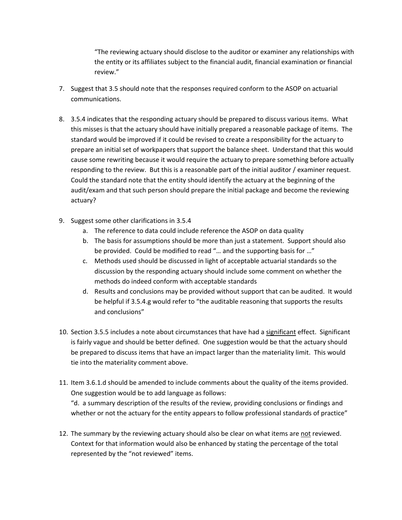"The reviewing actuary should disclose to the auditor or examiner any relationships with the entity or its affiliates subject to the financial audit, financial examination or financial review."

- 7. Suggest that 3.5 should note that the responses required conform to the ASOP on actuarial communications.
- 8. 3.5.4 indicates that the responding actuary should be prepared to discuss various items. What this misses is that the actuary should have initially prepared a reasonable package of items. The standard would be improved if it could be revised to create a responsibility for the actuary to prepare an initial set of workpapers that support the balance sheet. Understand that this would cause some rewriting because it would require the actuary to prepare something before actually responding to the review. But this is a reasonable part of the initial auditor / examiner request. Could the standard note that the entity should identify the actuary at the beginning of the audit/exam and that such person should prepare the initial package and become the reviewing actuary?
- 9. Suggest some other clarifications in 3.5.4
	- a. The reference to data could include reference the ASOP on data quality
	- b. The basis for assumptions should be more than just a statement. Support should also be provided. Could be modified to read "… and the supporting basis for …"
	- c. Methods used should be discussed in light of acceptable actuarial standards so the discussion by the responding actuary should include some comment on whether the methods do indeed conform with acceptable standards
	- d. Results and conclusions may be provided without support that can be audited. It would be helpful if 3.5.4.g would refer to "the auditable reasoning that supports the results and conclusions"
- 10. Section 3.5.5 includes a note about circumstances that have had a significant effect. Significant is fairly vague and should be better defined. One suggestion would be that the actuary should be prepared to discuss items that have an impact larger than the materiality limit. This would tie into the materiality comment above.
- 11. Item 3.6.1.d should be amended to include comments about the quality of the items provided. One suggestion would be to add language as follows: "d. a summary description of the results of the review, providing conclusions or findings and whether or not the actuary for the entity appears to follow professional standards of practice"
- 12. The summary by the reviewing actuary should also be clear on what items are not reviewed. Context for that information would also be enhanced by stating the percentage of the total represented by the "not reviewed" items.